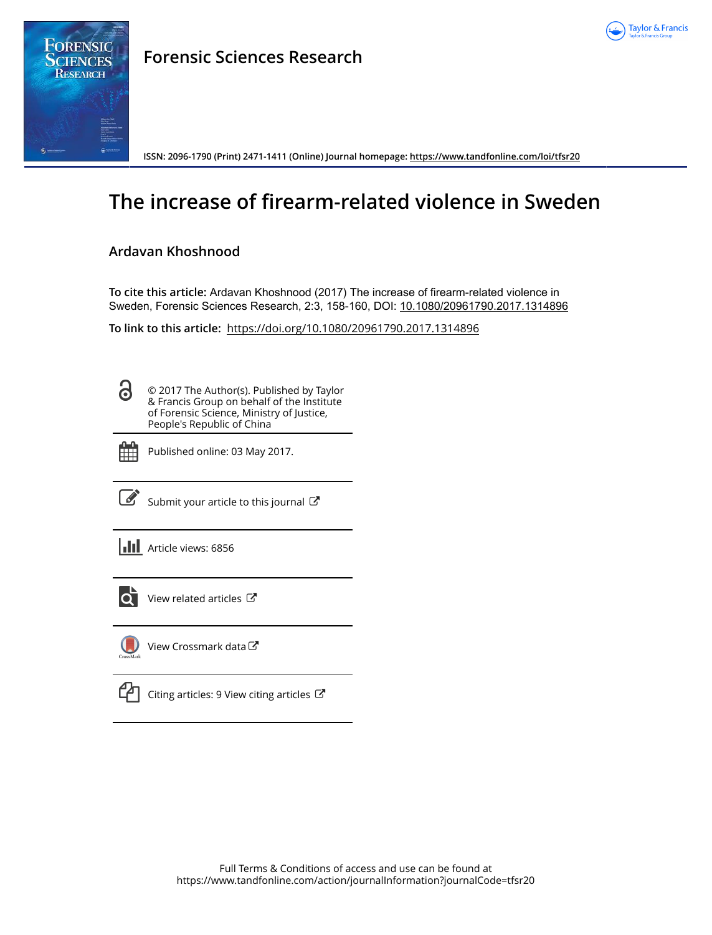



**ISSN: 2096-1790 (Print) 2471-1411 (Online) Journal homepage:<https://www.tandfonline.com/loi/tfsr20>**

# **The increase of firearm-related violence in Sweden**

## **Ardavan Khoshnood**

**To cite this article:** Ardavan Khoshnood (2017) The increase of firearm-related violence in Sweden, Forensic Sciences Research, 2:3, 158-160, DOI: [10.1080/20961790.2017.1314896](https://www.tandfonline.com/action/showCitFormats?doi=10.1080/20961790.2017.1314896)

**To link to this article:** <https://doi.org/10.1080/20961790.2017.1314896>

© 2017 The Author(s). Published by Taylor & Francis Group on behalf of the Institute of Forensic Science, Ministry of Justice, People's Republic of China



8

Published online: 03 May 2017.

| ł |
|---|

[Submit your article to this journal](https://www.tandfonline.com/action/authorSubmission?journalCode=tfsr20&show=instructions)  $\mathbb{Z}$ 

**III** Article views: 6856



 $\overline{Q}$  [View related articles](https://www.tandfonline.com/doi/mlt/10.1080/20961790.2017.1314896)  $\overline{C}$ 



[View Crossmark data](http://crossmark.crossref.org/dialog/?doi=10.1080/20961790.2017.1314896&domain=pdf&date_stamp=2017-05-03)

| $\mathbb{C}$ Citing articles: 9 |
|---------------------------------|
|                                 |

View citing articles  $\mathbb{Z}$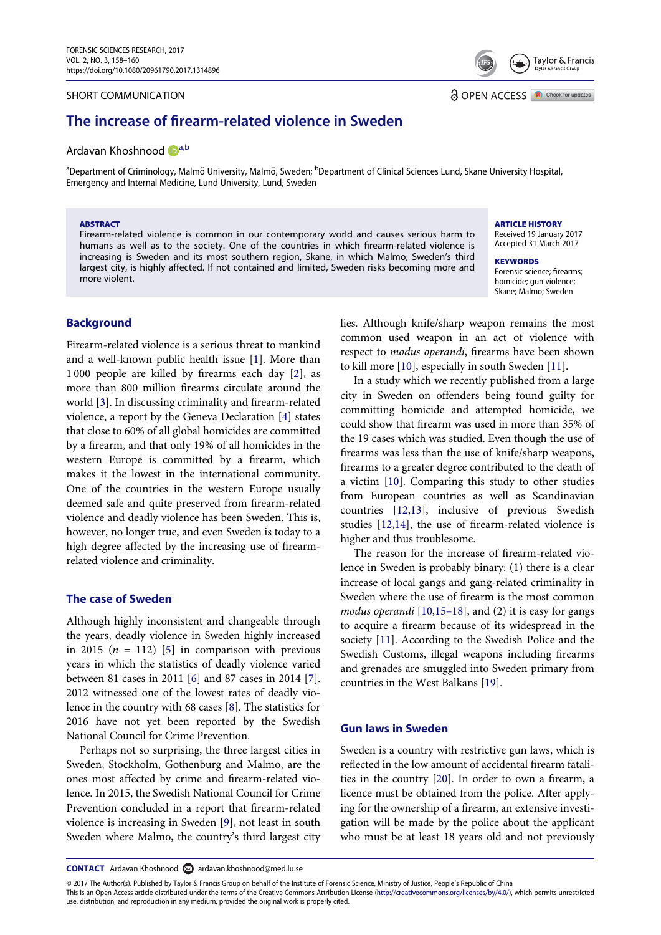#### SHORT COMMUNICATION

### The increase of firearm-related violence in Sweden

Ardavan Khoshnood C[a,b](#page-1-0)

<span id="page-1-0"></span><sup>a</sup>Department of Criminology, Malmö University, Malmö, Sweden; <sup>b</sup>Department of Clinical Sciences Lund, Skane University Hospital, Emergency and Internal Medicine, Lund University, Lund, Sweden

#### **ABSTRACT**

Firearm-related violence is common in our contemporary world and causes serious harm to humans as well as to the society. One of the countries in which firearm-related violence is increasing is Sweden and its most southern region, Skane, in which Malmo, Sweden's third largest city, is highly affected. If not contained and limited, Sweden risks becoming more and more violent.

#### **Background**

<span id="page-1-4"></span><span id="page-1-3"></span><span id="page-1-2"></span><span id="page-1-1"></span>Firearm-related violence is a serious threat to mankind and a well-known public health issue [\[1](#page-2-0)]. More than 1 000 people are killed by firearms each day [[2\]](#page-2-1), as more than 800 million firearms circulate around the world [[3\]](#page-2-2). In discussing criminality and firearm-related violence, a report by the Geneva Declaration [\[4](#page-2-3)] states that close to 60% of all global homicides are committed by a firearm, and that only 19% of all homicides in the western Europe is committed by a firearm, which makes it the lowest in the international community. One of the countries in the western Europe usually deemed safe and quite preserved from firearm-related violence and deadly violence has been Sweden. This is, however, no longer true, and even Sweden is today to a high degree affected by the increasing use of firearmrelated violence and criminality.

#### <span id="page-1-12"></span><span id="page-1-11"></span><span id="page-1-9"></span>The case of Sweden

<span id="page-1-13"></span><span id="page-1-10"></span><span id="page-1-6"></span><span id="page-1-5"></span>Although highly inconsistent and changeable through the years, deadly violence in Sweden highly increased in 2015 ( $n = 112$ ) [\[5](#page-2-4)] in comparison with previous years in which the statistics of deadly violence varied between 81 cases in 2011 [\[6](#page-3-0)] and 87 cases in 2014 [[7\]](#page-3-1). 2012 witnessed one of the lowest rates of deadly violence in the country with 68 cases [\[8](#page-3-2)]. The statistics for 2016 have not yet been reported by the Swedish National Council for Crime Prevention.

<span id="page-1-14"></span><span id="page-1-7"></span>Perhaps not so surprising, the three largest cities in Sweden, Stockholm, Gothenburg and Malmo, are the ones most affected by crime and firearm-related violence. In 2015, the Swedish National Council for Crime Prevention concluded in a report that firearm-related violence is increasing in Sweden [[9\]](#page-3-3), not least in south Sweden where Malmo, the country's third largest city

ARTICLE HISTORY Received 19 January 2017 Accepted 31 March 2017

**KEYWORDS** Forensic science; firearms; homicide; gun violence; Skane; Malmo; Sweden

**a** OPEN ACCESS **a** Check for updates

Taylor & Francis

lies. Although knife/sharp weapon remains the most common used weapon in an act of violence with respect to modus operandi, firearms have been shown to kill more [\[10](#page-3-4)], especially in south Sweden [\[11](#page-3-5)].

In a study which we recently published from a large city in Sweden on offenders being found guilty for committing homicide and attempted homicide, we could show that firearm was used in more than 35% of the 19 cases which was studied. Even though the use of firearms was less than the use of knife/sharp weapons, firearms to a greater degree contributed to the death of a victim [\[10](#page-3-4)]. Comparing this study to other studies from European countries as well as Scandinavian countries [[12,](#page-3-6)[13\]](#page-3-7), inclusive of previous Swedish studies [\[12](#page-3-6),[14\]](#page-3-8), the use of firearm-related violence is higher and thus troublesome.

The reason for the increase of firearm-related violence in Sweden is probably binary: (1) there is a clear increase of local gangs and gang-related criminality in Sweden where the use of firearm is the most common modus operandi  $[10,15-18]$  $[10,15-18]$  $[10,15-18]$  $[10,15-18]$  $[10,15-18]$ , and (2) it is easy for gangs to acquire a firearm because of its widespread in the society [\[11](#page-3-5)]. According to the Swedish Police and the Swedish Customs, illegal weapons including firearms and grenades are smuggled into Sweden primary from countries in the West Balkans [[19\]](#page-3-10).

#### Gun laws in Sweden

Sweden is a country with restrictive gun laws, which is reflected in the low amount of accidental firearm fatalities in the country [\[20](#page-3-11)]. In order to own a firearm, a licence must be obtained from the police. After applying for the ownership of a firearm, an extensive investigation will be made by the police about the applicant who must be at least 18 years old and not previously

<span id="page-1-8"></span><sup>© 2017</sup> The Author(s). Published by Taylor & Francis Group on behalf of the Institute of Forensic Science, Ministry of Justice, People's Republic of China

This is an Open Access article distributed under the terms of the Creative Commons Attribution License ([http://creativecommons.org/licenses/by/4.0/\)](http://creativecommons.org/licenses/by/4.0/), which permits unrestricted use, distribution, and reproduction in any medium, provided the original work is properly cited.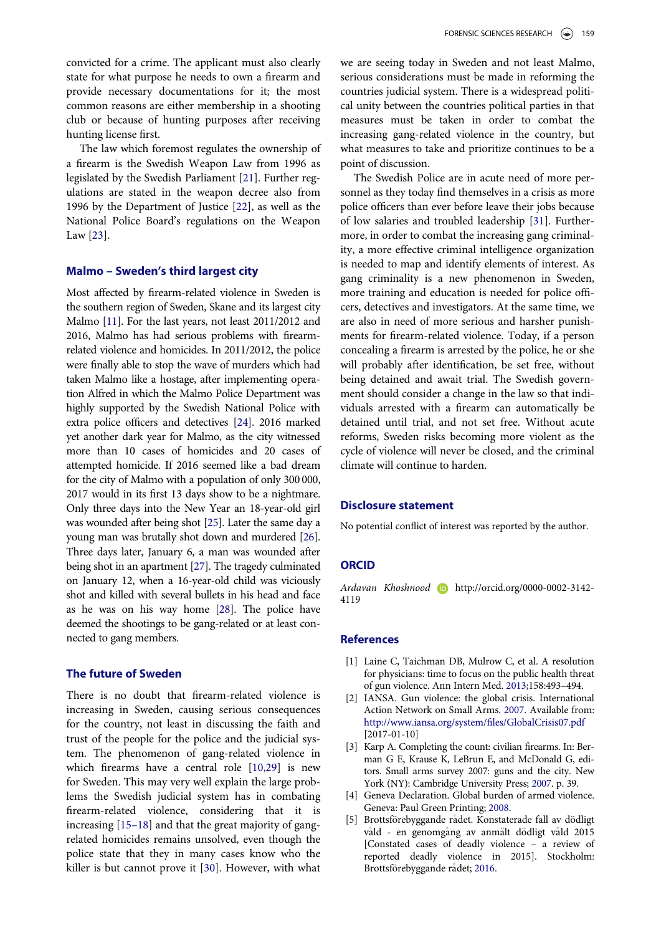convicted for a crime. The applicant must also clearly state for what purpose he needs to own a firearm and provide necessary documentations for it; the most common reasons are either membership in a shooting club or because of hunting purposes after receiving hunting license first.

<span id="page-2-6"></span><span id="page-2-5"></span>The law which foremost regulates the ownership of a firearm is the Swedish Weapon Law from 1996 as legislated by the Swedish Parliament [[21\]](#page-3-12). Further regulations are stated in the weapon decree also from 1996 by the Department of Justice [[22\]](#page-3-13), as well as the National Police Board's regulations on the Weapon Law [\[23](#page-3-14)].

#### <span id="page-2-15"></span><span id="page-2-7"></span>Malmo – Sweden's third largest city

<span id="page-2-8"></span>Most affected by firearm-related violence in Sweden is the southern region of Sweden, Skane and its largest city Malmo [[11\]](#page-3-5). For the last years, not least 2011/2012 and 2016, Malmo has had serious problems with firearmrelated violence and homicides. In 2011/2012, the police were finally able to stop the wave of murders which had taken Malmo like a hostage, after implementing operation Alfred in which the Malmo Police Department was highly supported by the Swedish National Police with extra police officers and detectives [[24](#page-3-15)]. 2016 marked yet another dark year for Malmo, as the city witnessed more than 10 cases of homicides and 20 cases of attempted homicide. If 2016 seemed like a bad dream for the city of Malmo with a population of only 300 000, 2017 would in its first 13 days show to be a nightmare. Only three days into the New Year an 18-year-old girl was wounded after being shot [[25\]](#page-3-16). Later the same day a young man was brutally shot down and murdered [\[26\]](#page-3-17). Three days later, January 6, a man was wounded after being shot in an apartment [[27](#page-3-18)]. The tragedy culminated on January 12, when a 16-year-old child was viciously shot and killed with several bullets in his head and face as he was on his way home [[28](#page-3-19)]. The police have deemed the shootings to be gang-related or at least connected to gang members.

#### <span id="page-2-12"></span><span id="page-2-11"></span><span id="page-2-10"></span><span id="page-2-9"></span><span id="page-2-0"></span>The future of Sweden

<span id="page-2-14"></span><span id="page-2-13"></span><span id="page-2-4"></span><span id="page-2-3"></span><span id="page-2-2"></span><span id="page-2-1"></span>There is no doubt that firearm-related violence is increasing in Sweden, causing serious consequences for the country, not least in discussing the faith and trust of the people for the police and the judicial system. The phenomenon of gang-related violence in which firearms have a central role [\[10](#page-3-4)[,29\]](#page-3-20) is new for Sweden. This may very well explain the large problems the Swedish judicial system has in combating firearm-related violence, considering that it is increasing [\[15](#page-3-9)–18] and that the great majority of gangrelated homicides remains unsolved, even though the police state that they in many cases know who the killer is but cannot prove it [[30\]](#page-3-21). However, with what we are seeing today in Sweden and not least Malmo, serious considerations must be made in reforming the countries judicial system. There is a widespread political unity between the countries political parties in that measures must be taken in order to combat the increasing gang-related violence in the country, but what measures to take and prioritize continues to be a point of discussion.

The Swedish Police are in acute need of more personnel as they today find themselves in a crisis as more police officers than ever before leave their jobs because of low salaries and troubled leadership [\[31](#page-3-22)]. Furthermore, in order to combat the increasing gang criminality, a more effective criminal intelligence organization is needed to map and identify elements of interest. As gang criminality is a new phenomenon in Sweden, more training and education is needed for police officers, detectives and investigators. At the same time, we are also in need of more serious and harsher punishments for firearm-related violence. Today, if a person concealing a firearm is arrested by the police, he or she will probably after identification, be set free, without being detained and await trial. The Swedish government should consider a change in the law so that individuals arrested with a firearm can automatically be detained until trial, and not set free. Without acute reforms, Sweden risks becoming more violent as the cycle of violence will never be closed, and the criminal climate will continue to harden.

#### Disclosure statement

No potential conflict of interest was reported by the author.

#### **ORCID**

Ardavan Khoshnood **b** [http://orcid.org/0000-0002-3142-](http://orcid.org/0000-0002-3142-4119) [4119](http://orcid.org/0000-0002-3142-4119)

#### References

- [1] Laine C, Taichman DB, Mulrow C, et al. A resolution for physicians: time to focus on the public health threat of gun violence. Ann Intern Med. [2013](#page-1-1);158:493–494.
- [2] IANSA. Gun violence: the global crisis. International Action Network on Small Arms. [2007](#page-1-2). Available from: [http://www.iansa.org/system/](http://www.iansa.org/system/files/GlobalCrisis07.pdf)files/GlobalCrisis07.pdf [2017-01-10]
- [3] Karp A. Completing the count: civilian firearms. In: Berman G E, Krause K, LeBrun E, and McDonald G, editors. Small arms survey 2007: guns and the city. New York (NY): Cambridge University Press; [2007.](#page-1-3) p. 39.
- [4] Geneva Declaration. Global burden of armed violence. Geneva: Paul Green Printing; [2008](#page-1-4).
- [5] Brottsförebyggande rådet. Konstaterade fall av dödligt våld - en genomgång av anmält dödligt våld 2015 [Constated cases of deadly violence – a review of reported deadly violence in 2015]. Stockholm: Brottsförebyggande rådet; [2016.](#page-1-5)